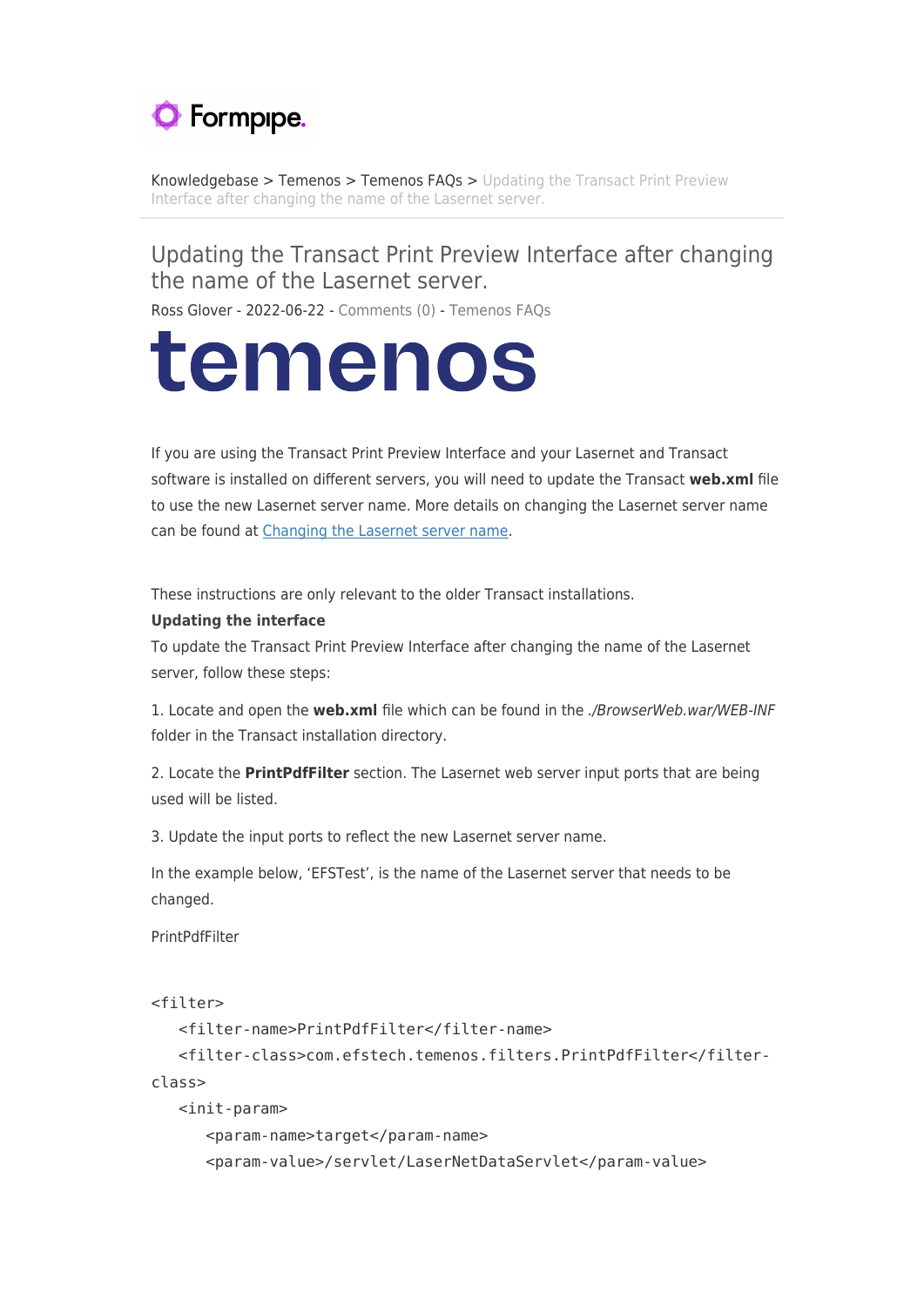

[Knowledgebase](https://support.formpipe.com/kb) > [Temenos](https://support.formpipe.com/kb/temenos) > [Temenos FAQs](https://support.formpipe.com/kb/temenos-faqs) > [Updating the Transact Print Preview](https://support.formpipe.com/kb/articles/updating-the-transact-print-preview-interface-after-changing-the-name-of-the-lasernet-server) [Interface after changing the name of the Lasernet server.](https://support.formpipe.com/kb/articles/updating-the-transact-print-preview-interface-after-changing-the-name-of-the-lasernet-server)

## Updating the Transact Print Preview Interface after changing the name of the Lasernet server.

Ross Glover - 2022-06-22 - [Comments \(0\)](#page--1-0) - [Temenos FAQs](https://support.formpipe.com/kb/temenos-faqs)

## temenos

If you are using the Transact Print Preview Interface and your Lasernet and Transact software is installed on different servers, you will need to update the Transact **web.xml** file to use the new Lasernet server name. More details on changing the Lasernet server name can be found at [Changing the Lasernet server name.](https://support.formpipe.com/kb/articles/changing-the-lasernet-server-name)

These instructions are only relevant to the older Transact installations.

## **Updating the interface**

To update the Transact Print Preview Interface after changing the name of the Lasernet server, follow these steps:

1. Locate and open the **web.xml** file which can be found in the ./BrowserWeb.war/WEB-INF folder in the Transact installation directory.

2. Locate the **PrintPdfFilter** section. The Lasernet web server input ports that are being used will be listed.

3. Update the input ports to reflect the new Lasernet server name.

In the example below, 'EFSTest', is the name of the Lasernet server that needs to be changed.

PrintPdfFilter

```
<filter>
```

```
 <filter-name>PrintPdfFilter</filter-name>
    <filter-class>com.efstech.temenos.filters.PrintPdfFilter</filter-
class>
    <init-param>
       <param-name>target</param-name>
```
<param-value>/servlet/LaserNetDataServlet</param-value>